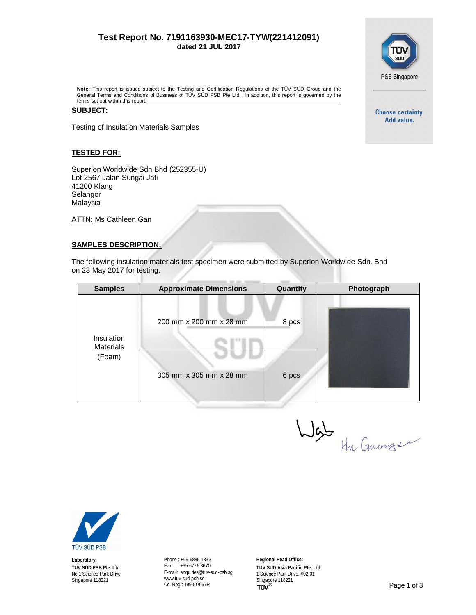## **Test Report No. 7191163930-MEC17-TYW(221412091) dated 21 JUL 2017**



**Note:** This report is issued subject to the Testing and Certification Regulations of the TUV SUD Group and the<br>General Terms and Conditions of Business of TÜV SÜD PSB Pte Ltd. In addition, this report is governed by the terms set out within this report.

### **SUBJECT:**

Testing of Insulation Materials Samples

#### **TESTED FOR:**

Superlon Worldwide Sdn Bhd (252355-U) Lot 2567 Jalan Sungai Jati 41200 Klang Selangor Malaysia

**ATTN: Ms Cathleen Gan** 

### **SAMPLES DESCRIPTION:**

The following insulation materials test specimen were submitted by Superlon Worldwide Sdn. Bhd on 23 May 2017 for testing.

| <b>Samples</b>                 | <b>Approximate Dimensions</b> | Quantity | Photograph |
|--------------------------------|-------------------------------|----------|------------|
| Insulation<br><b>Materials</b> | 200 mm x 200 mm x 28 mm       | 8 pcs    |            |
| (Foam)                         | 305 mm x 305 mm x 28 mm       | 6 pcs    |            |

Wat Hu Guanger



**Laboratory: TÜV SÜD PSB Pte. Ltd.** No.1 Science Park Drive Singapore 118221

Phone : +65-6885 1333 Fax : +65-6776 8670 E-mail: [enquiries@tuv-sud-psb.sg](mailto:enquiries@tuv-sud-psb.sg) [www.tuv-sud-psb.sg](http://www.tuv-sud-psb.sg/) Co. Reg : 199002667R

**Regional Head Office: TÜV SÜD Asia Pacific Pte. Ltd.** 1 Science Park Drive, #02-01 Singapore 118221<br>TUV<sup>®</sup>

**Choose certainty.** Add value.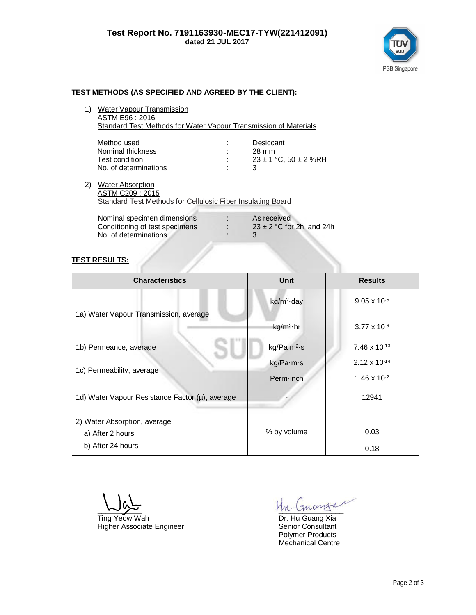

## **TEST METHODS (AS SPECIFIED AND AGREED BY THE CLIENT):**

1) Water Vapour Transmission ASTM E96 : 2016 Standard Test Methods for Water Vapour Transmission of Materials

| Method used           | Desiccant                     |
|-----------------------|-------------------------------|
| Nominal thickness     | 28 mm                         |
| Test condition        | $23 \pm 1$ °C, 50 $\pm$ 2 %RH |
| No. of determinations |                               |

2) Water Absorption ASTM C209 : 2015 Standard Test Methods for Cellulosic Fiber Insulating Board

| Nominal specimen dimensions    | As received                  |
|--------------------------------|------------------------------|
| Conditioning of test specimens | $23 \pm 2$ °C for 2h and 24h |
| No. of determinations          |                              |

# **TEST RESULTS:**

| <b>Characteristics</b>                           | <b>Unit</b>            | <b>Results</b>                  |
|--------------------------------------------------|------------------------|---------------------------------|
| 1a) Water Vapour Transmission, average           | kg/m <sup>2</sup> -day | $9.05 \times 10^{-5}$           |
|                                                  | kg/m <sup>2</sup> ·hr  | $3.77 \times 10^{-6}$           |
| 1b) Permeance, average                           | kg/Pa $m^2$ s          | 7.46 $\times$ 10 <sup>-13</sup> |
| 1c) Permeability, average                        | kg/Pa⋅m⋅s              | $2.12 \times 10^{-14}$          |
|                                                  | $Perm$ inch            | $1.46 \times 10^{-2}$           |
| 1d) Water Vapour Resistance Factor (µ), average  |                        | 12941                           |
| 2) Water Absorption, average<br>a) After 2 hours | % by volume            | 0.03                            |
| b) After 24 hours                                |                        | 0.18                            |

Ting Yeow Wah Dr. Hu Guang Xia<br>
Higher Associate Engineer Senior Consultant Higher Associate Engineer

 $\sim$ 

Polymer Products Mechanical Centre